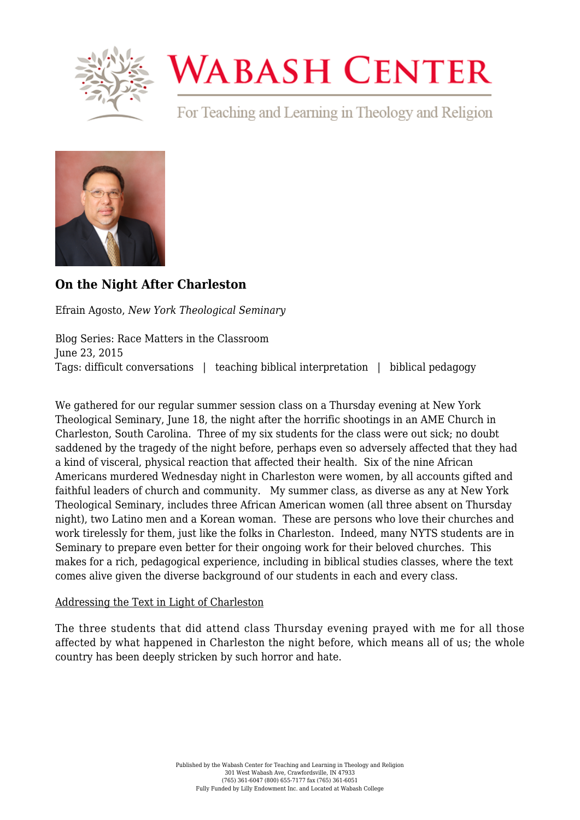

# **WABASH CENTER**

For Teaching and Learning in Theology and Religion



# **[On the Night After Charleston](https://www.wabashcenter.wabash.edu/2015/06/on-the-night-after-charleston/)**

Efrain Agosto, *New York Theological Seminary*

Blog Series: Race Matters in the Classroom June 23, 2015 Tags: difficult conversations | teaching biblical interpretation | biblical pedagogy

We gathered for our regular summer session class on a Thursday evening at New York Theological Seminary, June 18, the night after the horrific shootings in an AME Church in Charleston, South Carolina. Three of my six students for the class were out sick; no doubt saddened by the tragedy of the night before, perhaps even so adversely affected that they had a kind of visceral, physical reaction that affected their health. Six of the nine African Americans murdered Wednesday night in Charleston were women, by all accounts gifted and faithful leaders of church and community. My summer class, as diverse as any at New York Theological Seminary, includes three African American women (all three absent on Thursday night), two Latino men and a Korean woman. These are persons who love their churches and work tirelessly for them, just like the folks in Charleston. Indeed, many NYTS students are in Seminary to prepare even better for their ongoing work for their beloved churches. This makes for a rich, pedagogical experience, including in biblical studies classes, where the text comes alive given the diverse background of our students in each and every class.

# Addressing the Text in Light of Charleston

The three students that did attend class Thursday evening prayed with me for all those affected by what happened in Charleston the night before, which means all of us; the whole country has been deeply stricken by such horror and hate.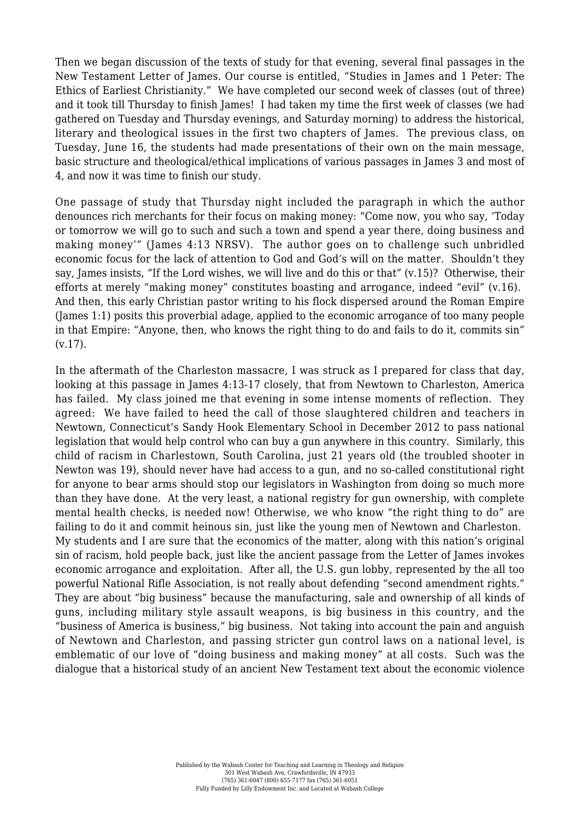Then we began discussion of the texts of study for that evening, several final passages in the New Testament Letter of James. Our course is entitled, "Studies in James and 1 Peter: The Ethics of Earliest Christianity." We have completed our second week of classes (out of three) and it took till Thursday to finish James! I had taken my time the first week of classes (we had gathered on Tuesday and Thursday evenings, and Saturday morning) to address the historical, literary and theological issues in the first two chapters of James. The previous class, on Tuesday, June 16, the students had made presentations of their own on the main message, basic structure and theological/ethical implications of various passages in James 3 and most of 4, and now it was time to finish our study.

One passage of study that Thursday night included the paragraph in which the author denounces rich merchants for their focus on making money: "Come now, you who say, 'Today or tomorrow we will go to such and such a town and spend a year there, doing business and making money'" (James 4:13 NRSV). The author goes on to challenge such unbridled economic focus for the lack of attention to God and God's will on the matter. Shouldn't they say, James insists, "If the Lord wishes, we will live and do this or that" (v.15)? Otherwise, their efforts at merely "making money" constitutes boasting and arrogance, indeed "evil" (v.16). And then, this early Christian pastor writing to his flock dispersed around the Roman Empire (James 1:1) posits this proverbial adage, applied to the economic arrogance of too many people in that Empire: "Anyone, then, who knows the right thing to do and fails to do it, commits sin" (v.17).

In the aftermath of the Charleston massacre, I was struck as I prepared for class that day, looking at this passage in James 4:13-17 closely, that from Newtown to Charleston, America has failed. My class joined me that evening in some intense moments of reflection. They agreed: We have failed to heed the call of those slaughtered children and teachers in Newtown, Connecticut's Sandy Hook Elementary School in December 2012 to pass national legislation that would help control who can buy a gun anywhere in this country. Similarly, this child of racism in Charlestown, South Carolina, just 21 years old (the troubled shooter in Newton was 19), should never have had access to a gun, and no so-called constitutional right for anyone to bear arms should stop our legislators in Washington from doing so much more than they have done. At the very least, a national registry for gun ownership, with complete mental health checks, is needed now! Otherwise, we who know "the right thing to do" are failing to do it and commit heinous sin, just like the young men of Newtown and Charleston. My students and I are sure that the economics of the matter, along with this nation's original sin of racism, hold people back, just like the ancient passage from the Letter of James invokes economic arrogance and exploitation. After all, the U.S. gun lobby, represented by the all too powerful National Rifle Association, is not really about defending "second amendment rights." They are about "big business" because the manufacturing, sale and ownership of all kinds of guns, including military style assault weapons, is big business in this country, and the "business of America is business," big business. Not taking into account the pain and anguish of Newtown and Charleston, and passing stricter gun control laws on a national level, is emblematic of our love of "doing business and making money" at all costs. Such was the dialogue that a historical study of an ancient New Testament text about the economic violence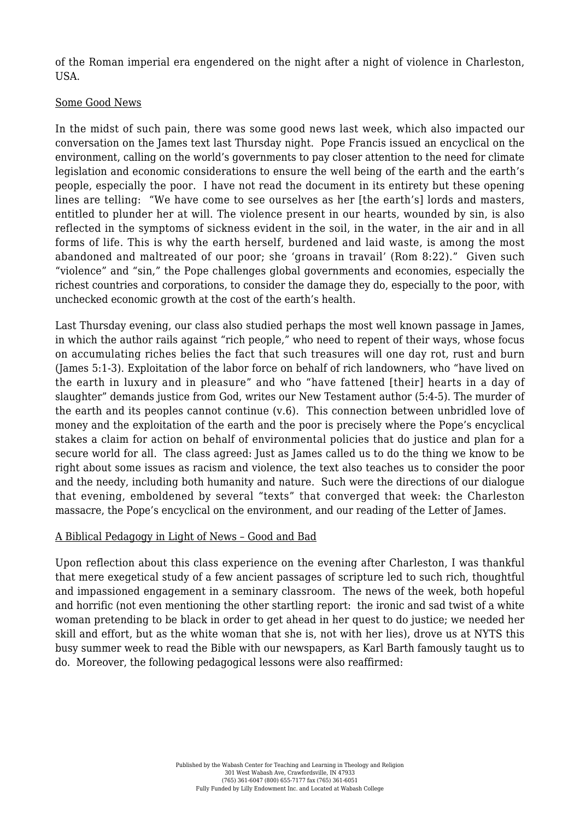of the Roman imperial era engendered on the night after a night of violence in Charleston, USA.

#### Some Good News

In the midst of such pain, there was some good news last week, which also impacted our conversation on the James text last Thursday night. Pope Francis issued an encyclical on the environment, calling on the world's governments to pay closer attention to the need for climate legislation and economic considerations to ensure the well being of the earth and the earth's people, especially the poor. I have not read the document in its entirety but these opening lines are telling: "We have come to see ourselves as her [the earth's] lords and masters, entitled to plunder her at will. The violence present in our hearts, wounded by sin, is also reflected in the symptoms of sickness evident in the soil, in the water, in the air and in all forms of life. This is why the earth herself, burdened and laid waste, is among the most abandoned and maltreated of our poor; she 'groans in travail' (Rom 8:22)." Given such "violence" and "sin," the Pope challenges global governments and economies, especially the richest countries and corporations, to consider the damage they do, especially to the poor, with unchecked economic growth at the cost of the earth's health.

Last Thursday evening, our class also studied perhaps the most well known passage in James, in which the author rails against "rich people," who need to repent of their ways, whose focus on accumulating riches belies the fact that such treasures will one day rot, rust and burn (James 5:1-3). Exploitation of the labor force on behalf of rich landowners, who "have lived on the earth in luxury and in pleasure" and who "have fattened [their] hearts in a day of slaughter" demands justice from God, writes our New Testament author (5:4-5). The murder of the earth and its peoples cannot continue (v.6). This connection between unbridled love of money and the exploitation of the earth and the poor is precisely where the Pope's encyclical stakes a claim for action on behalf of environmental policies that do justice and plan for a secure world for all. The class agreed: Just as James called us to do the thing we know to be right about some issues as racism and violence, the text also teaches us to consider the poor and the needy, including both humanity and nature. Such were the directions of our dialogue that evening, emboldened by several "texts" that converged that week: the Charleston massacre, the Pope's encyclical on the environment, and our reading of the Letter of James.

### A Biblical Pedagogy in Light of News – Good and Bad

Upon reflection about this class experience on the evening after Charleston, I was thankful that mere exegetical study of a few ancient passages of scripture led to such rich, thoughtful and impassioned engagement in a seminary classroom. The news of the week, both hopeful and horrific (not even mentioning the other startling report: the ironic and sad twist of a white woman pretending to be black in order to get ahead in her quest to do justice; we needed her skill and effort, but as the white woman that she is, not with her lies), drove us at NYTS this busy summer week to read the Bible with our newspapers, as Karl Barth famously taught us to do. Moreover, the following pedagogical lessons were also reaffirmed: